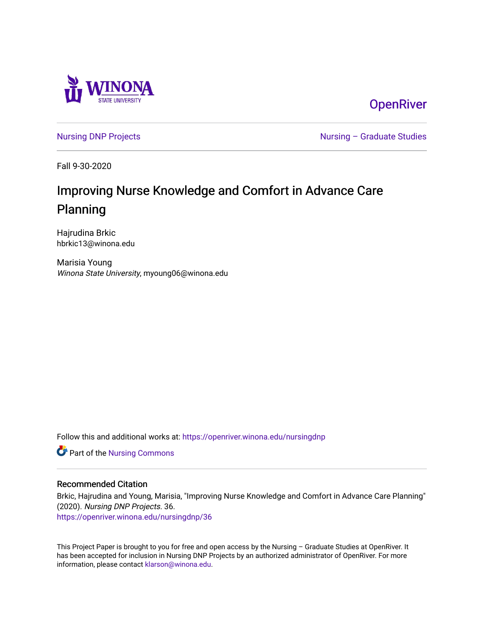

**OpenRiver** 

[Nursing DNP Projects](https://openriver.winona.edu/nursingdnp) **Nursing – Graduate Studies** 

Fall 9-30-2020

# Improving Nurse Knowledge and Comfort in Advance Care Planning

Hajrudina Brkic hbrkic13@winona.edu

Marisia Young Winona State University, myoung06@winona.edu

Follow this and additional works at: [https://openriver.winona.edu/nursingdnp](https://openriver.winona.edu/nursingdnp?utm_source=openriver.winona.edu%2Fnursingdnp%2F36&utm_medium=PDF&utm_campaign=PDFCoverPages) 

Part of the [Nursing Commons](http://network.bepress.com/hgg/discipline/718?utm_source=openriver.winona.edu%2Fnursingdnp%2F36&utm_medium=PDF&utm_campaign=PDFCoverPages) 

## Recommended Citation

Brkic, Hajrudina and Young, Marisia, "Improving Nurse Knowledge and Comfort in Advance Care Planning" (2020). Nursing DNP Projects. 36.

[https://openriver.winona.edu/nursingdnp/36](https://openriver.winona.edu/nursingdnp/36?utm_source=openriver.winona.edu%2Fnursingdnp%2F36&utm_medium=PDF&utm_campaign=PDFCoverPages)

This Project Paper is brought to you for free and open access by the Nursing – Graduate Studies at OpenRiver. It has been accepted for inclusion in Nursing DNP Projects by an authorized administrator of OpenRiver. For more information, please contact [klarson@winona.edu](mailto:klarson@winona.edu).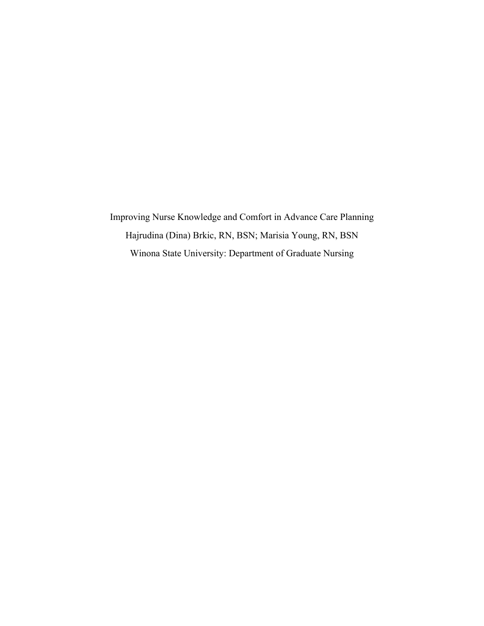Improving Nurse Knowledge and Comfort in Advance Care Planning Hajrudina (Dina) Brkic, RN, BSN; Marisia Young, RN, BSN Winona State University: Department of Graduate Nursing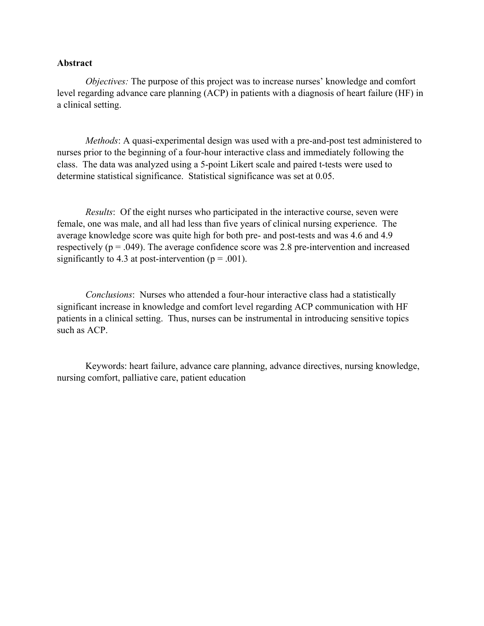## **Abstract**

*Objectives:* The purpose of this project was to increase nurses' knowledge and comfort level regarding advance care planning (ACP) in patients with a diagnosis of heart failure (HF) in a clinical setting.

*Methods*: A quasi-experimental design was used with a pre-and-post test administered to nurses prior to the beginning of a four-hour interactive class and immediately following the class. The data was analyzed using a 5-point Likert scale and paired t-tests were used to determine statistical significance. Statistical significance was set at 0.05.

*Results*: Of the eight nurses who participated in the interactive course, seven were female, one was male, and all had less than five years of clinical nursing experience. The average knowledge score was quite high for both pre- and post-tests and was 4.6 and 4.9 respectively ( $p = .049$ ). The average confidence score was 2.8 pre-intervention and increased significantly to 4.3 at post-intervention ( $p = .001$ ).

*Conclusions*: Nurses who attended a four-hour interactive class had a statistically significant increase in knowledge and comfort level regarding ACP communication with HF patients in a clinical setting. Thus, nurses can be instrumental in introducing sensitive topics such as ACP.

Keywords: heart failure, advance care planning, advance directives, nursing knowledge, nursing comfort, palliative care, patient education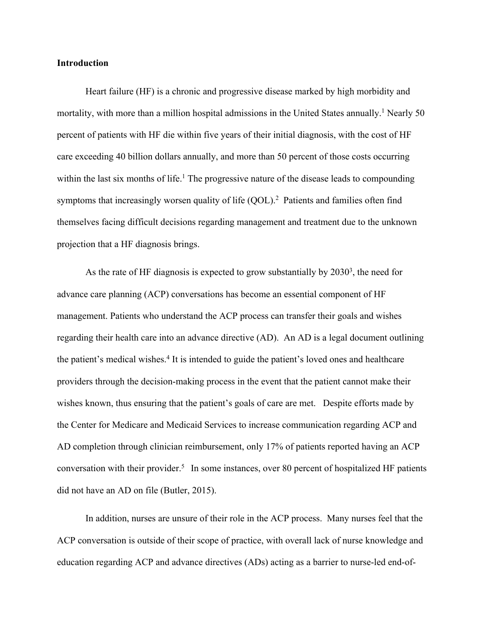## **Introduction**

Heart failure (HF) is a chronic and progressive disease marked by high morbidity and mortality, with more than a million hospital admissions in the United States annually.<sup>1</sup> Nearly 50 percent of patients with HF die within five years of their initial diagnosis, with the cost of HF care exceeding 40 billion dollars annually, and more than 50 percent of those costs occurring within the last six months of life.<sup>1</sup> The progressive nature of the disease leads to compounding symptoms that increasingly worsen quality of life  $(QOL)^2$  Patients and families often find themselves facing difficult decisions regarding management and treatment due to the unknown projection that a HF diagnosis brings.

As the rate of HF diagnosis is expected to grow substantially by  $2030<sup>3</sup>$ , the need for advance care planning (ACP) conversations has become an essential component of HF management. Patients who understand the ACP process can transfer their goals and wishes regarding their health care into an advance directive (AD). An AD is a legal document outlining the patient's medical wishes.4 It is intended to guide the patient's loved ones and healthcare providers through the decision-making process in the event that the patient cannot make their wishes known, thus ensuring that the patient's goals of care are met. Despite efforts made by the Center for Medicare and Medicaid Services to increase communication regarding ACP and AD completion through clinician reimbursement, only 17% of patients reported having an ACP conversation with their provider.<sup>5</sup> In some instances, over 80 percent of hospitalized HF patients did not have an AD on file (Butler, 2015).

In addition, nurses are unsure of their role in the ACP process. Many nurses feel that the ACP conversation is outside of their scope of practice, with overall lack of nurse knowledge and education regarding ACP and advance directives (ADs) acting as a barrier to nurse-led end-of-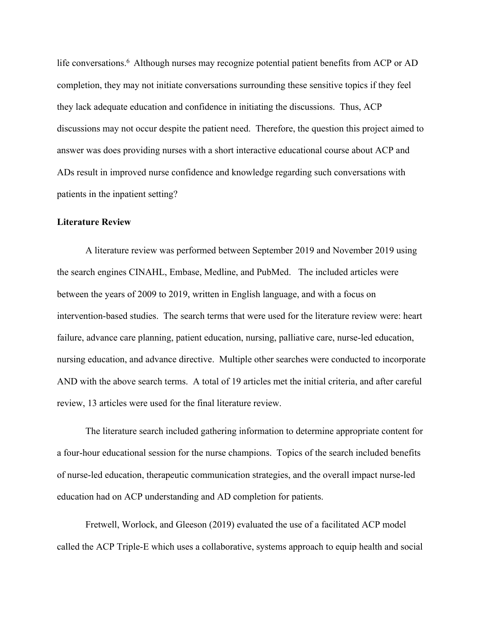life conversations. <sup>6</sup> Although nurses may recognize potential patient benefits from ACP or AD completion, they may not initiate conversations surrounding these sensitive topics if they feel they lack adequate education and confidence in initiating the discussions. Thus, ACP discussions may not occur despite the patient need. Therefore, the question this project aimed to answer was does providing nurses with a short interactive educational course about ACP and ADs result in improved nurse confidence and knowledge regarding such conversations with patients in the inpatient setting?

# **Literature Review**

A literature review was performed between September 2019 and November 2019 using the search engines CINAHL, Embase, Medline, and PubMed. The included articles were between the years of 2009 to 2019, written in English language, and with a focus on intervention-based studies. The search terms that were used for the literature review were: heart failure, advance care planning, patient education, nursing, palliative care, nurse-led education, nursing education, and advance directive. Multiple other searches were conducted to incorporate AND with the above search terms. A total of 19 articles met the initial criteria, and after careful review, 13 articles were used for the final literature review.

The literature search included gathering information to determine appropriate content for a four-hour educational session for the nurse champions. Topics of the search included benefits of nurse-led education, therapeutic communication strategies, and the overall impact nurse-led education had on ACP understanding and AD completion for patients.

Fretwell, Worlock, and Gleeson (2019) evaluated the use of a facilitated ACP model called the ACP Triple-E which uses a collaborative, systems approach to equip health and social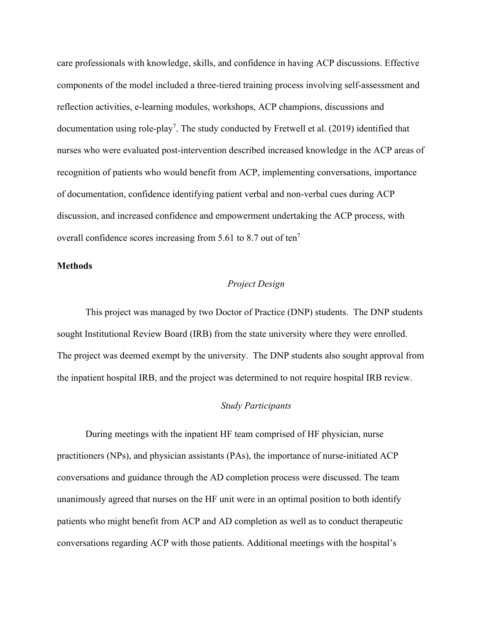care professionals with knowledge, skills, and confidence in having ACP discussions. Effective components of the model included a three-tiered training process involving self-assessment and reflection activities, e-learning modules, workshops, ACP champions, discussions and documentation using role-play<sup>7</sup>. The study conducted by Fretwell et al. (2019) identified that nurses who were evaluated post-intervention described increased knowledge in the ACP areas of recognition of patients who would benefit from ACP, implementing conversations, importance of documentation, confidence identifying patient verbal and non-verbal cues during ACP discussion, and increased confidence and empowerment undertaking the ACP process, with overall confidence scores increasing from 5.61 to 8.7 out of ten7.

# **Methods**

## *Project Design*

This project was managed by two Doctor of Practice (DNP) students. The DNP students sought Institutional Review Board (IRB) from the state university where they were enrolled. The project was deemed exempt by the university. The DNP students also sought approval from the inpatient hospital IRB, and the project was determined to not require hospital IRB review.

## *Study Participants*

During meetings with the inpatient HF team comprised of HF physician, nurse practitioners (NPs), and physician assistants (PAs), the importance of nurse-initiated ACP conversations and guidance through the AD completion process were discussed. The team unanimously agreed that nurses on the HF unit were in an optimal position to both identify patients who might benefit from ACP and AD completion as well as to conduct therapeutic conversations regarding ACP with those patients. Additional meetings with the hospital's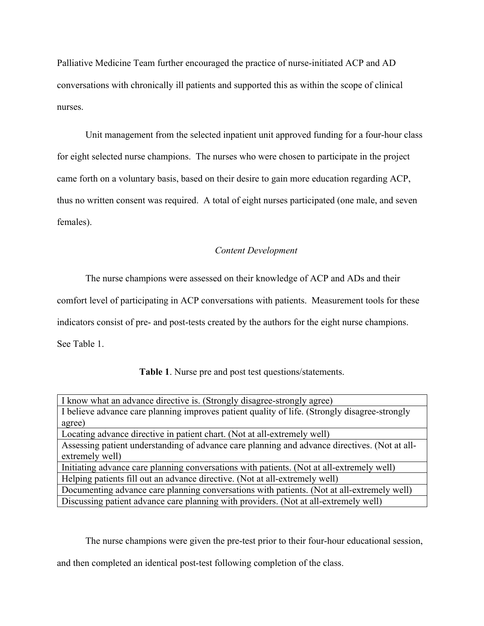Palliative Medicine Team further encouraged the practice of nurse-initiated ACP and AD conversations with chronically ill patients and supported this as within the scope of clinical nurses.

Unit management from the selected inpatient unit approved funding for a four-hour class for eight selected nurse champions. The nurses who were chosen to participate in the project came forth on a voluntary basis, based on their desire to gain more education regarding ACP, thus no written consent was required. A total of eight nurses participated (one male, and seven females).

## *Content Development*

The nurse champions were assessed on their knowledge of ACP and ADs and their

comfort level of participating in ACP conversations with patients. Measurement tools for these

indicators consist of pre- and post-tests created by the authors for the eight nurse champions.

See Table 1.

**Table 1**. Nurse pre and post test questions/statements.

| I know what an advance directive is. (Strongly disagree-strongly agree)                       |  |  |
|-----------------------------------------------------------------------------------------------|--|--|
| I believe advance care planning improves patient quality of life. (Strongly disagree-strongly |  |  |
| agree)                                                                                        |  |  |
| Locating advance directive in patient chart. (Not at all-extremely well)                      |  |  |
| Assessing patient understanding of advance care planning and advance directives. (Not at all- |  |  |
| extremely well)                                                                               |  |  |
| Initiating advance care planning conversations with patients. (Not at all-extremely well)     |  |  |
| Helping patients fill out an advance directive. (Not at all-extremely well)                   |  |  |
| Documenting advance care planning conversations with patients. (Not at all-extremely well)    |  |  |
| Discussing patient advance care planning with providers. (Not at all-extremely well)          |  |  |
|                                                                                               |  |  |

The nurse champions were given the pre-test prior to their four-hour educational session,

and then completed an identical post-test following completion of the class.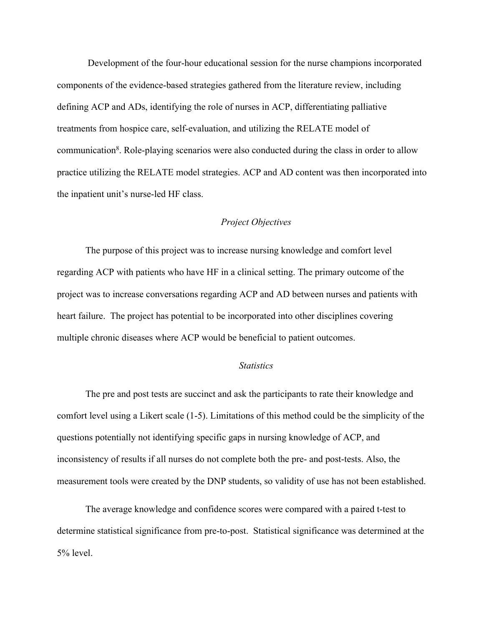Development of the four-hour educational session for the nurse champions incorporated components of the evidence-based strategies gathered from the literature review, including defining ACP and ADs, identifying the role of nurses in ACP, differentiating palliative treatments from hospice care, self-evaluation, and utilizing the RELATE model of communication<sup>8</sup>. Role-playing scenarios were also conducted during the class in order to allow practice utilizing the RELATE model strategies. ACP and AD content was then incorporated into the inpatient unit's nurse-led HF class.

# *Project Objectives*

The purpose of this project was to increase nursing knowledge and comfort level regarding ACP with patients who have HF in a clinical setting. The primary outcome of the project was to increase conversations regarding ACP and AD between nurses and patients with heart failure. The project has potential to be incorporated into other disciplines covering multiple chronic diseases where ACP would be beneficial to patient outcomes.

## *Statistics*

The pre and post tests are succinct and ask the participants to rate their knowledge and comfort level using a Likert scale (1-5). Limitations of this method could be the simplicity of the questions potentially not identifying specific gaps in nursing knowledge of ACP, and inconsistency of results if all nurses do not complete both the pre- and post-tests. Also, the measurement tools were created by the DNP students, so validity of use has not been established.

The average knowledge and confidence scores were compared with a paired t-test to determine statistical significance from pre-to-post. Statistical significance was determined at the 5% level.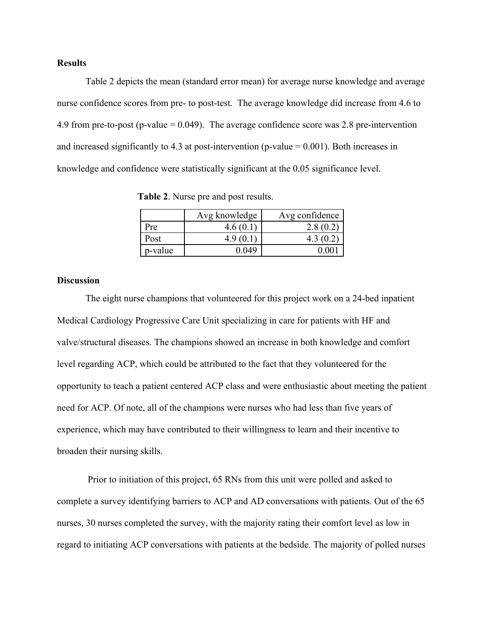#### **Results**

Table 2 depicts the mean (standard error mean) for average nurse knowledge and average nurse confidence scores from pre- to post-test. The average knowledge did increase from 4.6 to 4.9 from pre-to-post (p-value = 0.049). The average confidence score was 2.8 pre-intervention and increased significantly to 4.3 at post-intervention (p-value  $= 0.001$ ). Both increases in knowledge and confidence were statistically significant at the 0.05 significance level.

 **Table 2**. Nurse pre and post results.

|         | Avg knowledge | Avg confidence |
|---------|---------------|----------------|
| Pre     | 4.6(0.1)      | 2.8(0.2)       |
| Post    | 4.9           | 4.3 (0.2)      |
| p-value | በ በ49         |                |

## **Discussion**

The eight nurse champions that volunteered for this project work on a 24-bed inpatient Medical Cardiology Progressive Care Unit specializing in care for patients with HF and valve/structural diseases. The champions showed an increase in both knowledge and comfort level regarding ACP, which could be attributed to the fact that they volunteered for the opportunity to teach a patient centered ACP class and were enthusiastic about meeting the patient need for ACP. Of note, all of the champions were nurses who had less than five years of experience, which may have contributed to their willingness to learn and their incentive to broaden their nursing skills.

Prior to initiation of this project, 65 RNs from this unit were polled and asked to complete a survey identifying barriers to ACP and AD conversations with patients. Out of the 65 nurses, 30 nurses completed the survey, with the majority rating their comfort level as low in regard to initiating ACP conversations with patients at the bedside. The majority of polled nurses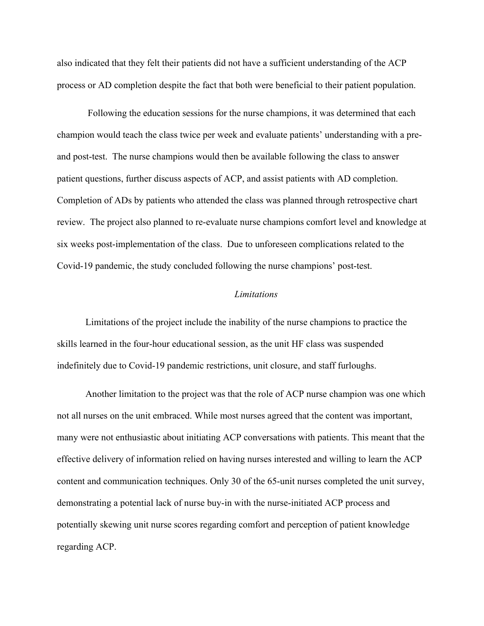also indicated that they felt their patients did not have a sufficient understanding of the ACP process or AD completion despite the fact that both were beneficial to their patient population.

Following the education sessions for the nurse champions, it was determined that each champion would teach the class twice per week and evaluate patients' understanding with a preand post-test. The nurse champions would then be available following the class to answer patient questions, further discuss aspects of ACP, and assist patients with AD completion. Completion of ADs by patients who attended the class was planned through retrospective chart review. The project also planned to re-evaluate nurse champions comfort level and knowledge at six weeks post-implementation of the class. Due to unforeseen complications related to the Covid-19 pandemic, the study concluded following the nurse champions' post-test.

#### *Limitations*

Limitations of the project include the inability of the nurse champions to practice the skills learned in the four-hour educational session, as the unit HF class was suspended indefinitely due to Covid-19 pandemic restrictions, unit closure, and staff furloughs.

Another limitation to the project was that the role of ACP nurse champion was one which not all nurses on the unit embraced. While most nurses agreed that the content was important, many were not enthusiastic about initiating ACP conversations with patients. This meant that the effective delivery of information relied on having nurses interested and willing to learn the ACP content and communication techniques. Only 30 of the 65-unit nurses completed the unit survey, demonstrating a potential lack of nurse buy-in with the nurse-initiated ACP process and potentially skewing unit nurse scores regarding comfort and perception of patient knowledge regarding ACP.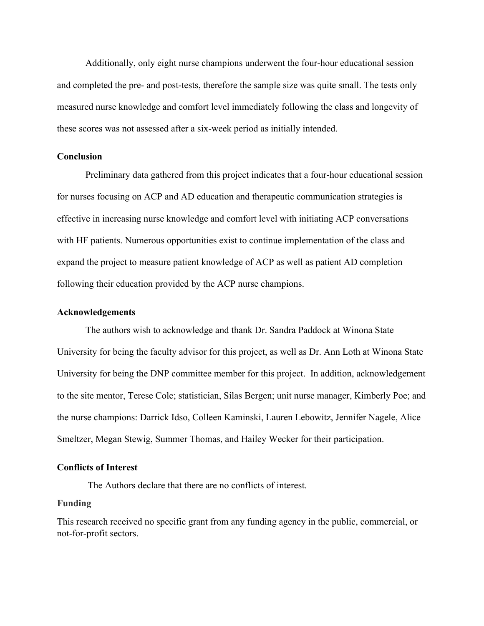Additionally, only eight nurse champions underwent the four-hour educational session and completed the pre- and post-tests, therefore the sample size was quite small. The tests only measured nurse knowledge and comfort level immediately following the class and longevity of these scores was not assessed after a six-week period as initially intended.

#### **Conclusion**

Preliminary data gathered from this project indicates that a four-hour educational session for nurses focusing on ACP and AD education and therapeutic communication strategies is effective in increasing nurse knowledge and comfort level with initiating ACP conversations with HF patients. Numerous opportunities exist to continue implementation of the class and expand the project to measure patient knowledge of ACP as well as patient AD completion following their education provided by the ACP nurse champions.

#### **Acknowledgements**

The authors wish to acknowledge and thank Dr. Sandra Paddock at Winona State University for being the faculty advisor for this project, as well as Dr. Ann Loth at Winona State University for being the DNP committee member for this project. In addition, acknowledgement to the site mentor, Terese Cole; statistician, Silas Bergen; unit nurse manager, Kimberly Poe; and the nurse champions: Darrick Idso, Colleen Kaminski, Lauren Lebowitz, Jennifer Nagele, Alice Smeltzer, Megan Stewig, Summer Thomas, and Hailey Wecker for their participation.

#### **Conflicts of Interest**

The Authors declare that there are no conflicts of interest.

# **Funding**

This research received no specific grant from any funding agency in the public, commercial, or not-for-profit sectors.